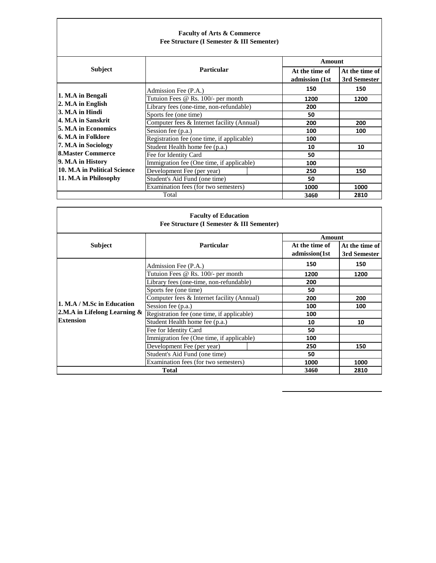## **Faculty of Arts & Commerce Fee Structure (I Semester & III Sementer)**

| <b>Subject</b>               |                                            |                                  | Amount                         |  |
|------------------------------|--------------------------------------------|----------------------------------|--------------------------------|--|
|                              | <b>Particular</b>                          | At the time of<br>admission (1st | At the time of<br>3rd Semester |  |
|                              | Admission Fee (P.A.)                       | 150                              | 150                            |  |
| 1. M.A in Bengali            | Tutuion Fees @ Rs. 100/- per month         | 1200                             | 1200                           |  |
| 2. M.A in English            | Library fees (one-time, non-refundable)    | 200                              |                                |  |
| 3. M.A in Hindi              | Sports fee (one time)                      | 50                               |                                |  |
| 4. M.A in Sanskrit           | Computer fees & Internet facility (Annual) | 200                              | 200                            |  |
| <b>5. M.A in Economics</b>   | Session fee (p.a.)                         | 100                              | 100                            |  |
| l6. M.A in Folklore          | Registration fee (one time, if applicable) | 100                              |                                |  |
| 7. M.A in Sociology          | Student Health home fee (p.a.)             | 10                               | 10                             |  |
| <b>8.Master Commerce</b>     | Fee for Identity Card                      | 50                               |                                |  |
| 9. M.A in History            | Immigration fee (One time, if applicable)  | 100                              |                                |  |
| 10. M.A in Political Science | Development Fee (per year)                 | 250                              | 150                            |  |
| 11. M.A in Philosophy        | Student's Aid Fund (one time)              | 50                               |                                |  |
|                              | Examination fees (for two semesters)       | 1000                             | 1000                           |  |
|                              | Total                                      | 3460                             | 2810                           |  |

|                                 | <b>Faculty of Education</b><br>Fee Structure (I Semester & III Sementer) |                |                |
|---------------------------------|--------------------------------------------------------------------------|----------------|----------------|
|                                 |                                                                          | Amount         |                |
| <b>Subject</b>                  | <b>Particular</b>                                                        | At the time of | At the time of |
|                                 |                                                                          | admission(1st  | 3rd Semester   |
|                                 | Admission Fee (P.A.)                                                     | 150            | 150            |
|                                 | Tutuion Fees @ Rs. 100/- per month                                       | 1200           | 1200           |
|                                 | Library fees (one-time, non-refundable)                                  | 200            |                |
|                                 | Sports fee (one time)                                                    | 50             |                |
|                                 | Computer fees & Internet facility (Annual)                               | 200            | 200            |
| 1. M.A / M.Sc in Education      | Session fee (p.a.)                                                       | 100            | 100            |
| 2.M.A in Lifelong Learning $\&$ | Registration fee (one time, if applicable)                               | 100            |                |
| <b>Extension</b>                | Student Health home fee (p.a.)                                           | 10             | 10             |
|                                 | Fee for Identity Card                                                    | 50             |                |
|                                 | Immigration fee (One time, if applicable)                                | 100            |                |
|                                 | Development Fee (per year)                                               | 250            | 150            |
|                                 | Student's Aid Fund (one time)                                            | 50             |                |
|                                 | Examination fees (for two semesters)                                     | 1000           | 1000           |
|                                 | <b>Total</b>                                                             | 3460           | 2810           |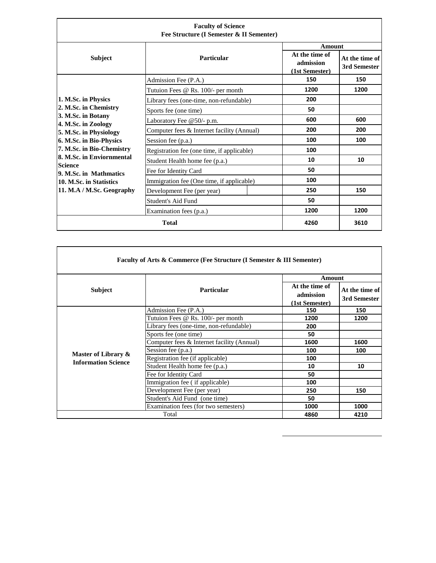| <b>Faculty of Science</b><br>Fee Structure (I Semester & II Sementer) |                                            |                                               |                                |
|-----------------------------------------------------------------------|--------------------------------------------|-----------------------------------------------|--------------------------------|
|                                                                       |                                            | Amount                                        |                                |
| <b>Subject</b>                                                        | Particular                                 | At the time of<br>admission<br>(1st Semester) | At the time of<br>3rd Semester |
|                                                                       | Admission Fee (P.A.)                       | 150                                           | 150                            |
|                                                                       | Tutuion Fees @ Rs. 100/- per month         | 1200                                          | 1200                           |
| 1. M.Sc. in Physics                                                   | Library fees (one-time, non-refundable)    | 200                                           |                                |
| 2. M.Sc. in Chemistry                                                 | Sports fee (one time)                      | 50                                            |                                |
| 3. M.Sc. in Botany<br>4. M.Sc. in Zoology                             | Laboratory Fee @50/- p.m.                  | 600                                           | 600                            |
| 5. M.Sc. in Physiology                                                | Computer fees & Internet facility (Annual) | 200                                           | 200                            |
| 6. M.Sc. in Bio-Physics                                               | Session fee (p.a.)                         | 100                                           | 100                            |
| 7. M.Sc. in Bio-Chemistry                                             | Registration fee (one time, if applicable) | 100                                           |                                |
| 8. M.Sc. in Enviornmental                                             | Student Health home fee (p.a.)             | 10                                            | 10                             |
| <b>Science</b><br>9. M.Sc. in Mathmatics                              | Fee for Identity Card                      | 50                                            |                                |
| 10. M.Sc. in Statistics<br>11. M.A / M.Sc. Geography                  | Immigration fee (One time, if applicable)  | 100                                           |                                |
|                                                                       | Development Fee (per year)                 | 250                                           | 150                            |
|                                                                       | Student's Aid Fund                         | 50                                            |                                |
|                                                                       | Examination fees (p.a.)                    | 1200                                          | 1200                           |
|                                                                       | <b>Total</b>                               | 4260                                          | 3610                           |

| Faculty of Arts & Commerce (Fee Structure (I Semester & III Sementer) |                                            |                                                         |                                |
|-----------------------------------------------------------------------|--------------------------------------------|---------------------------------------------------------|--------------------------------|
| <b>Subject</b>                                                        | <b>Particular</b>                          | Amount<br>At the time of<br>admission<br>(1st Semester) | At the time of<br>3rd Semester |
|                                                                       | Admission Fee (P.A.)                       | 150                                                     | 150                            |
|                                                                       | Tutuion Fees @ Rs. 100/- per month         | 1200                                                    | 1200                           |
|                                                                       | Library fees (one-time, non-refundable)    | 200                                                     |                                |
|                                                                       | Sports fee (one time)                      | 50                                                      |                                |
|                                                                       | Computer fees & Internet facility (Annual) | 1600                                                    | 1600                           |
| Master of Library &                                                   | Session fee (p.a.)                         | 100                                                     | 100                            |
| <b>Information Science</b>                                            | Registration fee (if applicable)           | 100                                                     |                                |
|                                                                       | Student Health home fee (p.a.)             | 10                                                      | 10                             |
|                                                                       | Fee for Identity Card                      | 50                                                      |                                |
|                                                                       | Immigration fee (if applicable)            | 100                                                     |                                |
|                                                                       | Development Fee (per year)                 | 250                                                     | 150                            |
|                                                                       | Student's Aid Fund (one time)              | 50                                                      |                                |
|                                                                       | Examination fees (for two semesters)       | 1000                                                    | 1000                           |
|                                                                       | Total                                      | 4860                                                    | 4210                           |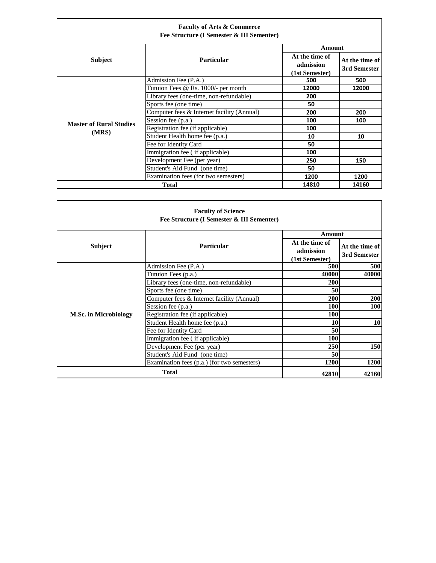|                                | <b>Faculty of Arts &amp; Commerce</b><br>Fee Structure (I Semester & III Sementer) |                                               |                                |
|--------------------------------|------------------------------------------------------------------------------------|-----------------------------------------------|--------------------------------|
|                                |                                                                                    | Amount                                        |                                |
| <b>Subject</b>                 | <b>Particular</b>                                                                  | At the time of<br>admission<br>(1st Semester) | At the time of<br>3rd Semester |
|                                | Admission Fee (P.A.)                                                               | 500                                           | 500                            |
|                                | Tutuion Fees @ Rs. 1000/- per month                                                | 12000                                         | 12000                          |
|                                | Library fees (one-time, non-refundable)                                            | 200                                           |                                |
|                                | Sports fee (one time)                                                              | 50                                            |                                |
|                                | Computer fees & Internet facility (Annual)                                         | 200                                           | 200                            |
| <b>Master of Rural Studies</b> | Session fee (p.a.)                                                                 | 100                                           | 100                            |
|                                | Registration fee (if applicable)                                                   | 100                                           |                                |
| (MRS)                          | Student Health home fee (p.a.)                                                     | 10                                            | 10                             |
|                                | Fee for Identity Card                                                              | 50                                            |                                |
|                                | Immigration fee (if applicable)                                                    | 100                                           |                                |
|                                | Development Fee (per year)                                                         | 250                                           | 150                            |
|                                | Student's Aid Fund (one time)                                                      | 50                                            |                                |
|                                | Examination fees (for two semesters)                                               | 1200                                          | 1200                           |
|                                | Total                                                                              | 14810                                         | 14160                          |

|                              | <b>Faculty of Science</b><br>Fee Structure (I Semester & III Sementer)       |                                                                                           |              |
|------------------------------|------------------------------------------------------------------------------|-------------------------------------------------------------------------------------------|--------------|
| <b>Subject</b>               | <b>Particular</b>                                                            | Amount<br>At the time of<br>At the time of<br>admission<br>3rd Semester<br>(1st Semester) |              |
|                              | Admission Fee (P.A.)                                                         | 500<br>40000                                                                              | 500<br>40000 |
|                              | Tutuion Fees (p.a.)<br>Library fees (one-time, non-refundable)               | 200                                                                                       |              |
|                              | Sports fee (one time)<br>Computer fees & Internet facility (Annual)          | 50<br>200                                                                                 | 200          |
| <b>M.Sc. in Microbiology</b> | Session fee (p.a.)<br>Registration fee (if applicable)                       | <b>100</b><br>100                                                                         | <b>100</b>   |
|                              | Student Health home fee (p.a.)                                               | <b>10</b>                                                                                 | 10           |
|                              | Fee for Identity Card<br>Immigration fee (if applicable)                     | 50<br>100                                                                                 |              |
|                              | Development Fee (per year)                                                   | <b>250</b>                                                                                | 150          |
|                              | Student's Aid Fund (one time)<br>Examination fees (p.a.) (for two semesters) | 50<br><b>1200</b>                                                                         | 1200         |
|                              | <b>Total</b>                                                                 | 42810                                                                                     | 42160        |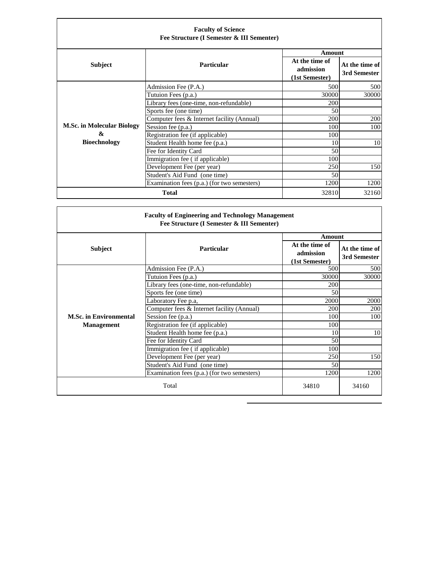| <b>Faculty of Science</b><br>Fee Structure (I Semester & III Sementer) |                                             |                                               |                                |
|------------------------------------------------------------------------|---------------------------------------------|-----------------------------------------------|--------------------------------|
|                                                                        |                                             | <b>Amount</b>                                 |                                |
| <b>Subject</b>                                                         | <b>Particular</b>                           | At the time of<br>admission<br>(1st Semester) | At the time of<br>3rd Semester |
|                                                                        | Admission Fee (P.A.)                        | 500                                           | 500                            |
|                                                                        | Tutuion Fees (p.a.)                         | 30000                                         | 30000                          |
|                                                                        | Library fees (one-time, non-refundable)     | 200                                           |                                |
|                                                                        | Sports fee (one time)                       | 50                                            |                                |
|                                                                        | Computer fees & Internet facility (Annual)  | 200                                           | 200                            |
| <b>M.Sc. in Molecular Biology</b>                                      | Session fee (p.a.)                          | 100                                           | 100                            |
| &                                                                      | Registration fee (if applicable)            | 100                                           |                                |
| <b>Bioechnology</b>                                                    | Student Health home fee (p.a.)              | 10                                            | 10                             |
|                                                                        | Fee for Identity Card                       | 50                                            |                                |
|                                                                        | Immigration fee (if applicable)             | 100                                           |                                |
|                                                                        | Development Fee (per year)                  | 250                                           | 150                            |
|                                                                        | Student's Aid Fund (one time)               | 50                                            |                                |
|                                                                        | Examination fees (p.a.) (for two semesters) | 1200                                          | 1200                           |
|                                                                        | <b>Total</b>                                | 32810                                         | 32160                          |

| <b>Faculty of Engineering and Technology Management</b><br>Fee Structure (I Semester & III Sementer) |                                             |                                               |                                |
|------------------------------------------------------------------------------------------------------|---------------------------------------------|-----------------------------------------------|--------------------------------|
|                                                                                                      |                                             | <b>Amount</b>                                 |                                |
| <b>Subject</b>                                                                                       | Particular                                  | At the time of<br>admission<br>(1st Semester) | At the time of<br>3rd Semester |
|                                                                                                      | Admission Fee (P.A.)                        | 500                                           | 500                            |
|                                                                                                      | Tutuion Fees (p.a.)                         | 30000                                         | 30000                          |
|                                                                                                      | Library fees (one-time, non-refundable)     | 200                                           |                                |
|                                                                                                      | Sports fee (one time)                       | 50                                            |                                |
|                                                                                                      | Laboratory Fee p.a,                         | 2000                                          | 2000                           |
|                                                                                                      | Computer fees & Internet facility (Annual)  | 200                                           | 200                            |
| <b>M.Sc. in Environmental</b>                                                                        | Session fee (p.a.)                          | 100                                           | 100                            |
| <b>Management</b>                                                                                    | Registration fee (if applicable)            | 100                                           |                                |
|                                                                                                      | Student Health home fee (p.a.)              | 10                                            | 10                             |
|                                                                                                      | Fee for Identity Card                       | 50                                            |                                |
|                                                                                                      | Immigration fee (if applicable)             | 100                                           |                                |
|                                                                                                      | Development Fee (per year)                  | 250                                           | 150                            |
|                                                                                                      | Student's Aid Fund (one time)               | 50                                            |                                |
|                                                                                                      | Examination fees (p.a.) (for two semesters) | 1200                                          | 1200                           |
| Total                                                                                                |                                             | 34810                                         | 34160                          |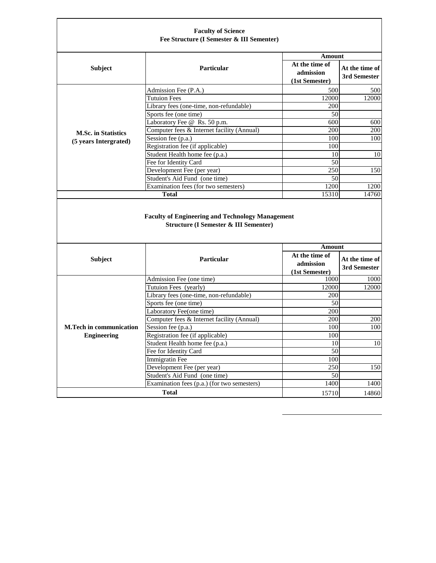|                                | <b>Faculty of Science</b><br>Fee Structure (I Semester & III Sementer)                                      |                                               |                                |
|--------------------------------|-------------------------------------------------------------------------------------------------------------|-----------------------------------------------|--------------------------------|
| <b>Subject</b>                 | Particular                                                                                                  | Amount<br>At the time of<br>admission         | At the time of<br>3rd Semester |
|                                | Admission Fee (P.A.)                                                                                        | (1st Semester)<br>500                         | 500                            |
|                                | <b>Tutuion Fees</b>                                                                                         | 12000                                         | 12000                          |
|                                | Library fees (one-time, non-refundable)                                                                     | 200                                           |                                |
|                                | Sports fee (one time)                                                                                       | 50                                            |                                |
|                                | Laboratory Fee @ Rs. 50 p.m.                                                                                | 600                                           | 600                            |
|                                | Computer fees & Internet facility (Annual)                                                                  | 200                                           | 200                            |
| <b>M.Sc. in Statistics</b>     | Session fee (p.a.)                                                                                          | 100                                           | 100                            |
| (5 years Intergrated)          | Registration fee (if applicable)                                                                            | 100                                           |                                |
|                                | Student Health home fee (p.a.)                                                                              | 10                                            | 10                             |
|                                | Fee for Identity Card                                                                                       | 50                                            |                                |
|                                | Development Fee (per year)                                                                                  | 250                                           | 150                            |
|                                | Student's Aid Fund (one time)                                                                               | 50                                            |                                |
|                                | Examination fees (for two semesters)                                                                        | 1200                                          | 1200                           |
|                                |                                                                                                             |                                               |                                |
|                                | <b>Total</b>                                                                                                | 15310                                         | 14760                          |
|                                | <b>Faculty of Engineering and Technology Management</b><br><b>Structure (I Semester &amp; III Sementer)</b> |                                               |                                |
|                                |                                                                                                             | Amount                                        |                                |
| <b>Subject</b>                 | Particular                                                                                                  | At the time of<br>admission<br>(1st Semester) | At the time of<br>3rd Semester |
|                                | Admission Fee (one time)                                                                                    | 1000                                          | 1000                           |
|                                | Tutuion Fees (yearly)                                                                                       | 12000                                         | 12000                          |
|                                | Library fees (one-time, non-refundable)                                                                     | 200                                           |                                |
|                                | Sports fee (one time)                                                                                       | 50                                            |                                |
|                                | Laboratory Fee(one time)                                                                                    | 200                                           |                                |
|                                | Computer fees & Internet facility (Annual)                                                                  | 200                                           | 200                            |
| <b>M.Tech in communication</b> | Session fee (p.a.)                                                                                          | 100                                           | 100                            |
| <b>Engineering</b>             | Registration fee (if applicable)                                                                            | 100                                           |                                |
|                                | Student Health home fee (p.a.)                                                                              | 10                                            | 10                             |
|                                | Fee for Identity Card                                                                                       | 50                                            |                                |
|                                | <b>Immigratin Fee</b>                                                                                       | 100                                           |                                |
|                                | Development Fee (per year)                                                                                  | $\overline{250}$                              | 150                            |
|                                | Student's Aid Fund (one time)                                                                               | 50                                            |                                |
|                                | Examination fees (p.a.) (for two semesters)<br><b>Total</b>                                                 | 1400<br>15710                                 | 1400<br>14860                  |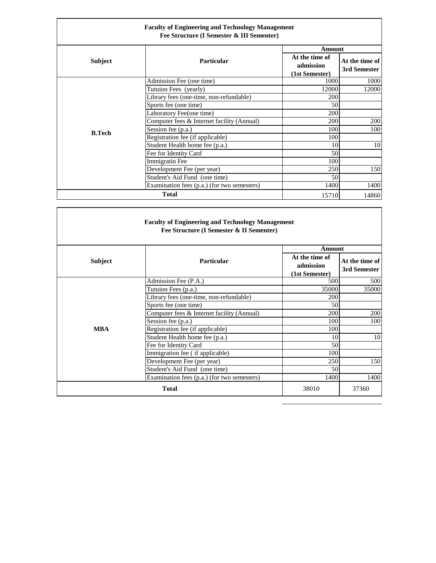| <b>Faculty of Engineering and Technology Management</b><br>Fee Structure (I Semester & III Sementer) |                                             |                                               |                                |
|------------------------------------------------------------------------------------------------------|---------------------------------------------|-----------------------------------------------|--------------------------------|
|                                                                                                      |                                             | Amount                                        |                                |
| <b>Subject</b>                                                                                       | <b>Particular</b>                           | At the time of<br>admission<br>(1st Semester) | At the time of<br>3rd Semester |
|                                                                                                      | Admission Fee (one time)                    | 1000                                          | 1000                           |
|                                                                                                      | Tutuion Fees (yearly)                       | 12000                                         | 12000                          |
|                                                                                                      | Library fees (one-time, non-refundable)     | 200                                           |                                |
|                                                                                                      | Sports fee (one time)                       | 50                                            |                                |
|                                                                                                      | Laboratory Fee(one time)                    | 200                                           |                                |
|                                                                                                      | Computer fees & Internet facility (Annual)  | 200                                           | 200                            |
| <b>B.Tech</b>                                                                                        | Session fee (p.a.)                          | 100                                           | 100                            |
|                                                                                                      | Registration fee (if applicable)            | 100                                           |                                |
|                                                                                                      | Student Health home fee (p.a.)              | 10                                            | 10                             |
|                                                                                                      | Fee for Identity Card                       | 50                                            |                                |
|                                                                                                      | Immigratin Fee                              | 100                                           |                                |
|                                                                                                      | Development Fee (per year)                  | 250                                           | 150                            |
|                                                                                                      | Student's Aid Fund (one time)               | 50                                            |                                |
|                                                                                                      | Examination fees (p.a.) (for two semesters) | 1400                                          | 1400                           |
|                                                                                                      | <b>Total</b>                                | 15710                                         | 14860                          |

| <b>Faculty of Engineering and Technology Management</b><br>Fee Structure (I Semester & II Sementer) |                                             |                                               |                                |
|-----------------------------------------------------------------------------------------------------|---------------------------------------------|-----------------------------------------------|--------------------------------|
|                                                                                                     |                                             | Amount                                        |                                |
| <b>Subject</b>                                                                                      | Particular                                  | At the time of<br>admission<br>(1st Semester) | At the time of<br>3rd Semester |
|                                                                                                     | Admission Fee (P.A.)                        | 500                                           | 500                            |
|                                                                                                     | Tutuion Fees (p.a.)                         | 35000                                         | 35000                          |
|                                                                                                     | Library fees (one-time, non-refundable)     | 200                                           |                                |
|                                                                                                     | Sports fee (one time)                       | 50                                            |                                |
|                                                                                                     | Computer fees & Internet facility (Annual)  | 200                                           | 200                            |
|                                                                                                     | Session fee (p.a.)                          | 100                                           | 100                            |
| <b>MBA</b>                                                                                          | Registration fee (if applicable)            | 100                                           |                                |
|                                                                                                     | Student Health home fee (p.a.)              | 10                                            | 10                             |
|                                                                                                     | Fee for Identity Card                       | 50                                            |                                |
|                                                                                                     | Immigration fee (if applicable)             | 100                                           |                                |
|                                                                                                     | Development Fee (per year)                  | 250                                           | 150                            |
|                                                                                                     | Student's Aid Fund (one time)               | 50                                            |                                |
|                                                                                                     | Examination fees (p.a.) (for two semesters) | 1400                                          | 1400                           |
| <b>Total</b>                                                                                        |                                             | 38010                                         | 37360                          |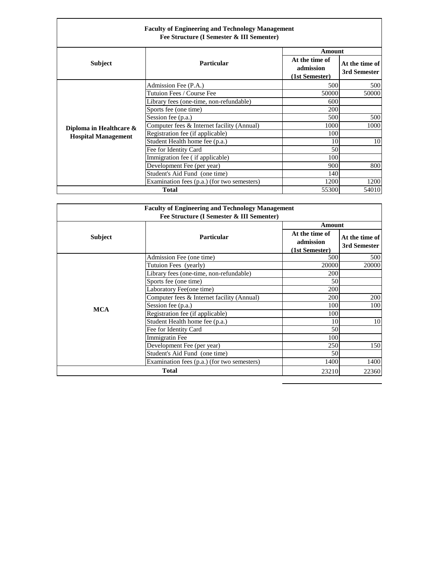|                            | <b>Faculty of Engineering and Technology Management</b><br>Fee Structure (I Semester & III Sementer) |                                               |                                |
|----------------------------|------------------------------------------------------------------------------------------------------|-----------------------------------------------|--------------------------------|
|                            |                                                                                                      | <b>Amount</b>                                 |                                |
| <b>Subject</b>             | <b>Particular</b>                                                                                    | At the time of<br>admission<br>(1st Semester) | At the time of<br>3rd Semester |
|                            | Admission Fee (P.A.)                                                                                 | 500                                           | 500                            |
|                            | Tutuion Fees / Course Fee                                                                            | 50000                                         | 50000                          |
|                            | Library fees (one-time, non-refundable)                                                              | 600                                           |                                |
|                            | Sports fee (one time)                                                                                | 200                                           |                                |
|                            | Session fee (p.a.)                                                                                   | 500                                           | 500                            |
| Diploma in Healthcare &    | Computer fees & Internet facility (Annual)                                                           | 1000                                          | 1000                           |
| <b>Hospital Management</b> | Registration fee (if applicable)                                                                     | 100                                           |                                |
|                            | Student Health home fee (p.a.)                                                                       | 10                                            | 10                             |
|                            | Fee for Identity Card                                                                                | 50                                            |                                |
|                            | Immigration fee (if applicable)                                                                      | 100                                           |                                |
|                            | Development Fee (per year)                                                                           | 900                                           | 800                            |
|                            | Student's Aid Fund (one time)                                                                        | 140                                           |                                |
|                            | Examination fees (p.a.) (for two semesters)                                                          | 1200                                          | 1200                           |
|                            | <b>Total</b>                                                                                         | 55300                                         | 54010                          |

| <b>Faculty of Engineering and Technology Management</b> |                                             |                                               |                                |  |
|---------------------------------------------------------|---------------------------------------------|-----------------------------------------------|--------------------------------|--|
|                                                         | Fee Structure (I Semester & III Sementer)   |                                               |                                |  |
|                                                         |                                             |                                               | Amount                         |  |
| <b>Subject</b>                                          | <b>Particular</b>                           | At the time of<br>admission<br>(1st Semester) | At the time of<br>3rd Semester |  |
|                                                         | Admission Fee (one time)                    | 500                                           | 500                            |  |
|                                                         | Tutuion Fees (yearly)                       | 20000                                         | 20000                          |  |
|                                                         | Library fees (one-time, non-refundable)     | 200                                           |                                |  |
|                                                         | Sports fee (one time)                       | 50                                            |                                |  |
|                                                         | Laboratory Fee(one time)                    | 200                                           |                                |  |
|                                                         | Computer fees & Internet facility (Annual)  | 200                                           | 200                            |  |
| <b>MCA</b>                                              | Session fee (p.a.)                          | 100                                           | 100                            |  |
|                                                         | Registration fee (if applicable)            | 100                                           |                                |  |
|                                                         | Student Health home fee (p.a.)              | 10                                            | 10                             |  |
|                                                         | Fee for Identity Card                       | 50                                            |                                |  |
|                                                         | Immigratin Fee                              | 100                                           |                                |  |
|                                                         | Development Fee (per year)                  | 250                                           | 150                            |  |
|                                                         | Student's Aid Fund (one time)               | 50                                            |                                |  |
|                                                         | Examination fees (p.a.) (for two semesters) | 1400                                          | 1400                           |  |
| <b>Total</b><br>23210                                   |                                             |                                               | 22360                          |  |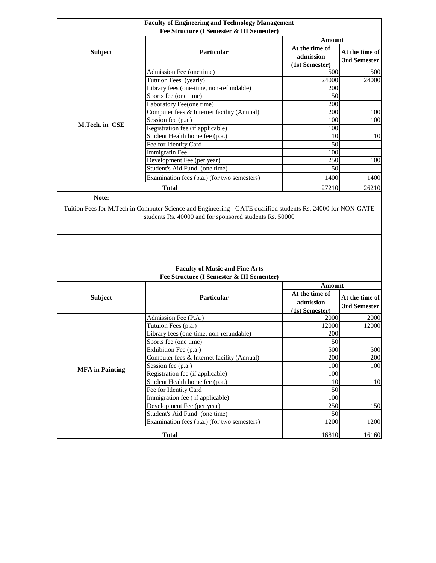| <b>Faculty of Engineering and Technology Management</b><br>Fee Structure (I Semester & III Sementer) |                                             |                                               |                                |  |
|------------------------------------------------------------------------------------------------------|---------------------------------------------|-----------------------------------------------|--------------------------------|--|
|                                                                                                      |                                             |                                               | Amount                         |  |
| <b>Subject</b>                                                                                       | <b>Particular</b>                           | At the time of<br>admission<br>(1st Semester) | At the time of<br>3rd Semester |  |
|                                                                                                      | Admission Fee (one time)                    | 500                                           | 500                            |  |
|                                                                                                      | Tutuion Fees (yearly)                       | 24000                                         | 24000                          |  |
|                                                                                                      | Library fees (one-time, non-refundable)     | 200                                           |                                |  |
|                                                                                                      | Sports fee (one time)                       | 50                                            |                                |  |
|                                                                                                      | Laboratory Fee(one time)                    | 200                                           |                                |  |
|                                                                                                      | Computer fees & Internet facility (Annual)  | 200                                           | 100                            |  |
|                                                                                                      | Session fee (p.a.)                          | 100                                           | 100                            |  |
| M.Tech. in CSE                                                                                       | Registration fee (if applicable)            | 100                                           |                                |  |
|                                                                                                      | Student Health home fee (p.a.)              | 10                                            | 10                             |  |
|                                                                                                      | Fee for Identity Card                       | 50                                            |                                |  |
|                                                                                                      | Immigratin Fee                              | 100                                           |                                |  |
|                                                                                                      | Development Fee (per year)                  | 250                                           | 100                            |  |
|                                                                                                      | Student's Aid Fund (one time)               | 50                                            |                                |  |
|                                                                                                      | Examination fees (p.a.) (for two semesters) | 1400                                          | 1400                           |  |
|                                                                                                      | <b>Total</b>                                | 27210                                         | 26210                          |  |

**Note:**

Tuition Fees for M.Tech in Computer Science and Engineering - GATE qualified students Rs. 24000 for NON-GATE students Rs. 40000 and for sponsored students Rs. 50000

| <b>Faculty of Music and Fine Arts</b> |                                             |                                               |                                |  |  |
|---------------------------------------|---------------------------------------------|-----------------------------------------------|--------------------------------|--|--|
|                                       | Fee Structure (I Semester & III Sementer)   |                                               |                                |  |  |
|                                       |                                             |                                               | Amount                         |  |  |
| <b>Subject</b>                        | <b>Particular</b>                           | At the time of<br>admission<br>(1st Semester) | At the time of<br>3rd Semester |  |  |
|                                       | Admission Fee (P.A.)                        | 2000                                          | 2000                           |  |  |
|                                       | Tutuion Fees (p.a.)                         | 12000                                         | 12000                          |  |  |
|                                       | Library fees (one-time, non-refundable)     | 200                                           |                                |  |  |
|                                       | Sports fee (one time)                       | 50                                            |                                |  |  |
|                                       | Exhibition Fee (p.a.)                       | 500                                           | 500                            |  |  |
|                                       | Computer fees & Internet facility (Annual)  | 200                                           | 200                            |  |  |
| <b>MFA</b> in Painting                | Session fee (p.a.)                          | 100                                           | 100                            |  |  |
|                                       | Registration fee (if applicable)            | 100                                           |                                |  |  |
|                                       | Student Health home fee (p.a.)              | 10                                            | 10                             |  |  |
|                                       | Fee for Identity Card                       | 50                                            |                                |  |  |
|                                       | Immigration fee (if applicable)             | 100                                           |                                |  |  |
|                                       | Development Fee (per year)                  | 250                                           | 150                            |  |  |
|                                       | Student's Aid Fund (one time)               | 50                                            |                                |  |  |
|                                       | Examination fees (p.a.) (for two semesters) | 1200                                          | 1200                           |  |  |
|                                       | <b>Total</b>                                | 16810                                         | 16160                          |  |  |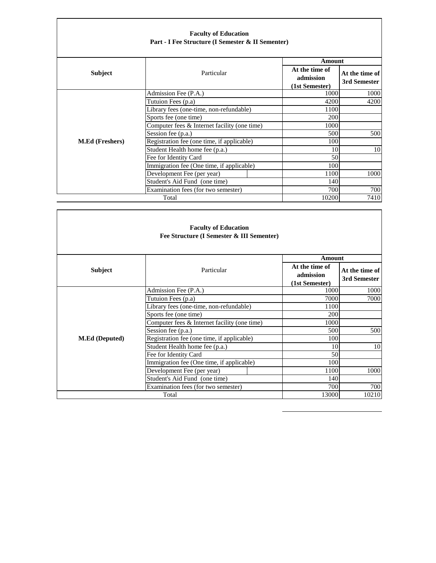| <b>Faculty of Education</b><br>Part - I Fee Structure (I Semester & II Sementer) |                                                |                                               |                                |  |
|----------------------------------------------------------------------------------|------------------------------------------------|-----------------------------------------------|--------------------------------|--|
|                                                                                  |                                                |                                               | Amount                         |  |
| <b>Subject</b>                                                                   | Particular                                     | At the time of<br>admission<br>(1st Semester) | At the time of<br>3rd Semester |  |
|                                                                                  | Admission Fee (P.A.)                           | 1000                                          | 1000                           |  |
|                                                                                  | Tutuion Fees (p.a)                             | 4200                                          | 4200                           |  |
|                                                                                  | Library fees (one-time, non-refundable)        | 1100                                          |                                |  |
|                                                                                  | Sports fee (one time)                          | 200                                           |                                |  |
|                                                                                  | Computer fees $&$ Internet facility (one time) | 1000                                          |                                |  |
|                                                                                  | Session fee (p.a.)                             | 500                                           | 500                            |  |
| <b>M.Ed (Freshers)</b>                                                           | Registration fee (one time, if applicable)     | 100                                           |                                |  |
|                                                                                  | Student Health home fee (p.a.)                 | 10                                            | 10                             |  |
|                                                                                  | Fee for Identity Card                          | 50                                            |                                |  |
|                                                                                  | Immigration fee (One time, if applicable)      | 100                                           |                                |  |
|                                                                                  | Development Fee (per year)                     | 1100                                          | 1000                           |  |
|                                                                                  | Student's Aid Fund (one time)                  | 140                                           |                                |  |
|                                                                                  | Examination fees (for two semester)            | 700                                           | 700                            |  |
|                                                                                  | Total                                          | 10200                                         | 7410                           |  |

|                       | <b>Faculty of Education</b><br>Fee Structure (I Semester & III Sementer) |                                 |                                |
|-----------------------|--------------------------------------------------------------------------|---------------------------------|--------------------------------|
|                       |                                                                          | <b>Amount</b><br>At the time of |                                |
| Subject               | Particular                                                               | admission<br>(1st Semester)     | At the time of<br>3rd Semester |
|                       | Admission Fee (P.A.)                                                     | 1000                            | 1000                           |
|                       | Tutuion Fees (p.a)                                                       | 7000                            | 7000                           |
|                       | Library fees (one-time, non-refundable)                                  | 1100                            |                                |
|                       | Sports fee (one time)                                                    | 200                             |                                |
|                       | Computer fees & Internet facility (one time)                             | 1000                            |                                |
|                       | Session fee (p.a.)                                                       | 500                             | 500                            |
| <b>M.Ed</b> (Deputed) | Registration fee (one time, if applicable)                               | 100                             |                                |
|                       | Student Health home fee (p.a.)                                           | 10                              | 10                             |
|                       | Fee for Identity Card                                                    | 50                              |                                |
|                       | Immigration fee (One time, if applicable)                                | 100                             |                                |
|                       | Development Fee (per year)                                               | 1100                            | 1000                           |
|                       | Student's Aid Fund (one time)                                            | 140                             |                                |
|                       | Examination fees (for two semester)                                      | 700                             | 700                            |
|                       | Total                                                                    | 13000                           | 10210                          |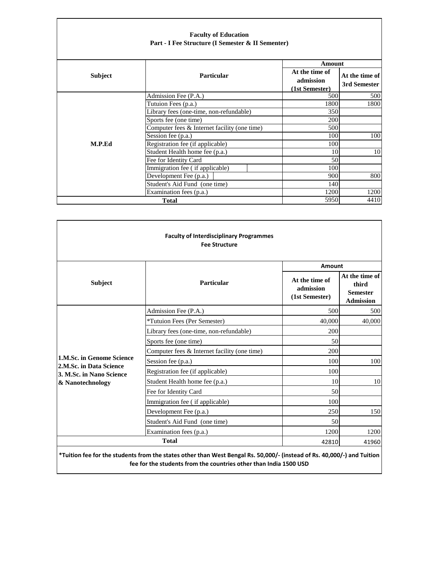| <b>Faculty of Education</b><br>Part - I Fee Structure (I Semester & II Sementer) |                                              |                                                         |                                |
|----------------------------------------------------------------------------------|----------------------------------------------|---------------------------------------------------------|--------------------------------|
| <b>Subject</b>                                                                   | <b>Particular</b>                            | Amount<br>At the time of<br>admission<br>(1st Semester) | At the time of<br>3rd Semester |
|                                                                                  | Admission Fee (P.A.)                         | 500                                                     | 500                            |
|                                                                                  | Tutuion Fees (p.a.)                          | 1800                                                    | 1800                           |
|                                                                                  | Library fees (one-time, non-refundable)      | 350                                                     |                                |
|                                                                                  | Sports fee (one time)                        | 200                                                     |                                |
|                                                                                  | Computer fees & Internet facility (one time) | 500                                                     |                                |
|                                                                                  | Session fee (p.a.)                           | 100                                                     | 100                            |
| M.P.Ed                                                                           | Registration fee (if applicable)             | 100                                                     |                                |
|                                                                                  | Student Health home fee (p.a.)               | 10                                                      | 10                             |
|                                                                                  | Fee for Identity Card                        | 50                                                      |                                |
|                                                                                  | Immigration fee (if applicable)              | 100                                                     |                                |
|                                                                                  | Development Fee (p.a.)                       | 900                                                     | 800                            |
|                                                                                  | Student's Aid Fund (one time)                | 140                                                     |                                |
|                                                                                  | Examination fees (p.a.)                      | 1200                                                    | 1200                           |
| 5950<br><b>Total</b>                                                             |                                              |                                                         | 4410                           |

|                                                     | <b>Faculty of Interdisciplinary Programmes</b><br><b>Fee Structure</b> | Amount                                        |                                                                |
|-----------------------------------------------------|------------------------------------------------------------------------|-----------------------------------------------|----------------------------------------------------------------|
| <b>Subject</b>                                      | Particular                                                             | At the time of<br>admission<br>(1st Semester) | At the time of<br>third<br><b>Semester</b><br><b>Admission</b> |
|                                                     | Admission Fee (P.A.)                                                   | 500                                           | 500                                                            |
|                                                     | *Tutuion Fees (Per Semester)                                           | 40,000                                        | 40,000                                                         |
|                                                     | Library fees (one-time, non-refundable)                                | 200                                           |                                                                |
|                                                     | Sports fee (one time)                                                  | 50                                            |                                                                |
|                                                     | Computer fees $&$ Internet facility (one time)                         | 200                                           |                                                                |
| 1.M.Sc. in Genome Science                           | Session fee (p.a.)                                                     | 100                                           | 100                                                            |
| 2.M.Sc. in Data Science<br>3. M.Sc. in Nano Science | Registration fee (if applicable)                                       | 100                                           |                                                                |
| & Nanotechnology                                    | Student Health home fee (p.a.)                                         | 10                                            | 10                                                             |
|                                                     | Fee for Identity Card                                                  | 50                                            |                                                                |
|                                                     | Immigration fee (if applicable)                                        | 100                                           |                                                                |
|                                                     | Development Fee (p.a.)                                                 | 250                                           | 150                                                            |
|                                                     | Student's Aid Fund (one time)                                          | 50                                            |                                                                |
|                                                     | Examination fees (p.a.)                                                | 1200                                          | 1200                                                           |
| <b>Total</b>                                        |                                                                        | 42810                                         | 41960                                                          |

L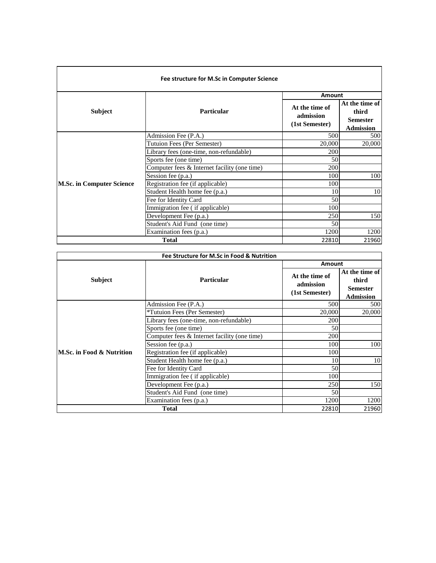| Fee structure for M.Sc in Computer Science |                                              |                                               |                                                                |  |
|--------------------------------------------|----------------------------------------------|-----------------------------------------------|----------------------------------------------------------------|--|
|                                            |                                              | Amount                                        |                                                                |  |
| Subject                                    | Particular                                   | At the time of<br>admission<br>(1st Semester) | At the time of<br>third<br><b>Semester</b><br><b>Admission</b> |  |
|                                            | Admission Fee (P.A.)                         | 500                                           | 500                                                            |  |
|                                            | Tutuion Fees (Per Semester)                  | 20,000                                        | 20,000                                                         |  |
|                                            | Library fees (one-time, non-refundable)      | 200                                           |                                                                |  |
|                                            | Sports fee (one time)                        | 50                                            |                                                                |  |
|                                            | Computer fees & Internet facility (one time) | 200                                           |                                                                |  |
|                                            | Session fee (p.a.)                           | 100                                           | 100                                                            |  |
| <b>M.Sc. in Computer Science</b>           | Registration fee (if applicable)             | 100                                           |                                                                |  |
|                                            | Student Health home fee (p.a.)               | 10                                            | 10                                                             |  |
|                                            | Fee for Identity Card                        | 50                                            |                                                                |  |
|                                            | Immigration fee (if applicable)              | 100                                           |                                                                |  |
|                                            | Development Fee (p.a.)                       | 250                                           | 150                                                            |  |
|                                            | Student's Aid Fund (one time)                | 50                                            |                                                                |  |
|                                            | Examination fees (p.a.)                      | 1200                                          | 1200                                                           |  |
|                                            | <b>Total</b>                                 | 22810                                         | 21960                                                          |  |

| Fee Structure for M.Sc in Food & Nutrition |                                              |                                               |                                                                |  |
|--------------------------------------------|----------------------------------------------|-----------------------------------------------|----------------------------------------------------------------|--|
|                                            |                                              |                                               | <b>Amount</b>                                                  |  |
| <b>Subject</b>                             | <b>Particular</b>                            | At the time of<br>admission<br>(1st Semester) | At the time of<br>third<br><b>Semester</b><br><b>Admission</b> |  |
|                                            | Admission Fee (P.A.)                         | 500                                           | 500                                                            |  |
|                                            | *Tutuion Fees (Per Semester)                 | 20,000                                        | 20,000                                                         |  |
|                                            | Library fees (one-time, non-refundable)      | 200                                           |                                                                |  |
|                                            | Sports fee (one time)                        | 50                                            |                                                                |  |
|                                            | Computer fees & Internet facility (one time) | 200                                           |                                                                |  |
|                                            | Session fee (p.a.)                           | 100                                           | 100                                                            |  |
| M.Sc. in Food & Nutrition                  | Registration fee (if applicable)             | 100                                           |                                                                |  |
|                                            | Student Health home fee (p.a.)               | 10                                            | 10                                                             |  |
|                                            | Fee for Identity Card                        | 50                                            |                                                                |  |
|                                            | Immigration fee (if applicable)              | 100                                           |                                                                |  |
|                                            | Development Fee (p.a.)                       | 250                                           | 150                                                            |  |
|                                            | Student's Aid Fund (one time)                | 50                                            |                                                                |  |
|                                            | Examination fees (p.a.)                      | 1200                                          | 1200                                                           |  |
| <b>Total</b>                               |                                              | 22810                                         | 21960                                                          |  |